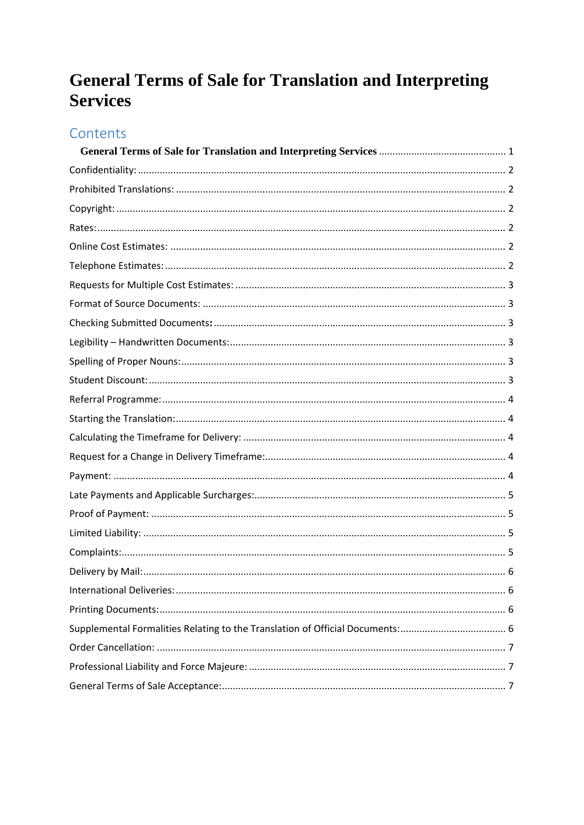# <span id="page-0-0"></span>**General Terms of Sale for Translation and Interpreting Services**

# Contents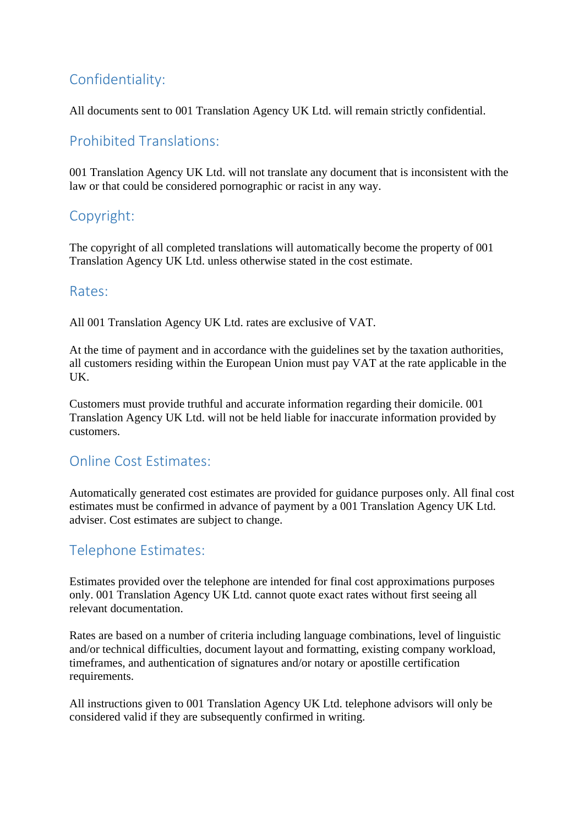### <span id="page-1-0"></span>Confidentiality:

All documents sent to 001 Translation Agency UK Ltd. will remain strictly confidential.

### <span id="page-1-1"></span>Prohibited Translations:

001 Translation Agency UK Ltd. will not translate any document that is inconsistent with the law or that could be considered pornographic or racist in any way.

### <span id="page-1-2"></span>Copyright:

The copyright of all completed translations will automatically become the property of 001 Translation Agency UK Ltd. unless otherwise stated in the cost estimate.

#### <span id="page-1-3"></span>Rates:

All 001 Translation Agency UK Ltd. rates are exclusive of VAT.

At the time of payment and in accordance with the guidelines set by the taxation authorities, all customers residing within the European Union must pay VAT at the rate applicable in the UK.

Customers must provide truthful and accurate information regarding their domicile. 001 Translation Agency UK Ltd. will not be held liable for inaccurate information provided by customers.

### <span id="page-1-4"></span>Online Cost Estimates:

Automatically generated cost estimates are provided for guidance purposes only. All final cost estimates must be confirmed in advance of payment by a 001 Translation Agency UK Ltd. adviser. Cost estimates are subject to change.

### <span id="page-1-5"></span>Telephone Estimates:

Estimates provided over the telephone are intended for final cost approximations purposes only. 001 Translation Agency UK Ltd. cannot quote exact rates without first seeing all relevant documentation.

Rates are based on a number of criteria including language combinations, level of linguistic and/or technical difficulties, document layout and formatting, existing company workload, timeframes, and authentication of signatures and/or notary or apostille certification requirements.

All instructions given to 001 Translation Agency UK Ltd. telephone advisors will only be considered valid if they are subsequently confirmed in writing.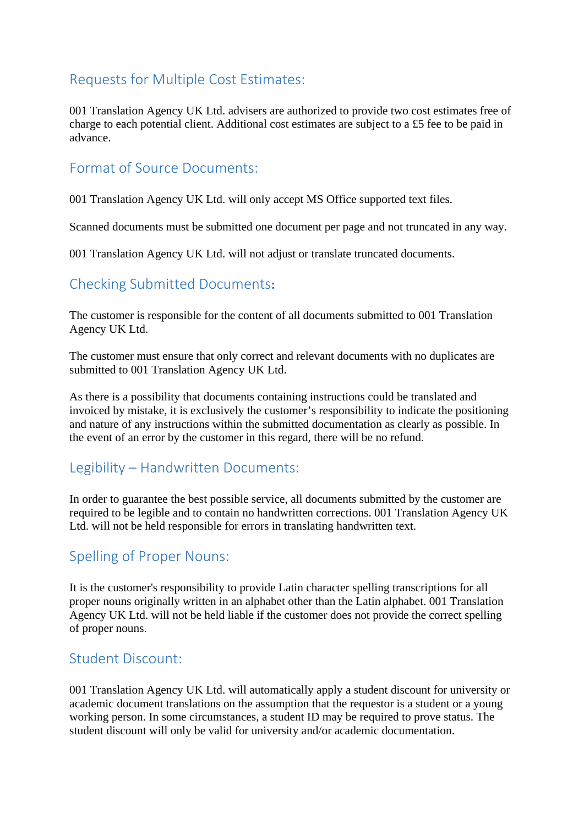### <span id="page-2-0"></span>Requests for Multiple Cost Estimates:

001 Translation Agency UK Ltd. advisers are authorized to provide two cost estimates free of charge to each potential client. Additional cost estimates are subject to a £5 fee to be paid in advance.

#### <span id="page-2-1"></span>Format of Source Documents:

001 Translation Agency UK Ltd. will only accept MS Office supported text files.

Scanned documents must be submitted one document per page and not truncated in any way.

001 Translation Agency UK Ltd. will not adjust or translate truncated documents.

### <span id="page-2-2"></span>Checking Submitted Documents**:**

The customer is responsible for the content of all documents submitted to 001 Translation Agency UK Ltd.

The customer must ensure that only correct and relevant documents with no duplicates are submitted to 001 Translation Agency UK Ltd.

As there is a possibility that documents containing instructions could be translated and invoiced by mistake, it is exclusively the customer's responsibility to indicate the positioning and nature of any instructions within the submitted documentation as clearly as possible. In the event of an error by the customer in this regard, there will be no refund.

#### <span id="page-2-3"></span>Legibility – Handwritten Documents:

In order to guarantee the best possible service, all documents submitted by the customer are required to be legible and to contain no handwritten corrections. 001 Translation Agency UK Ltd. will not be held responsible for errors in translating handwritten text.

### <span id="page-2-4"></span>Spelling of Proper Nouns:

It is the customer's responsibility to provide Latin character spelling transcriptions for all proper nouns originally written in an alphabet other than the Latin alphabet. 001 Translation Agency UK Ltd. will not be held liable if the customer does not provide the correct spelling of proper nouns.

#### <span id="page-2-5"></span>Student Discount:

001 Translation Agency UK Ltd. will automatically apply a student discount for university or academic document translations on the assumption that the requestor is a student or a young working person. In some circumstances, a student ID may be required to prove status. The student discount will only be valid for university and/or academic documentation.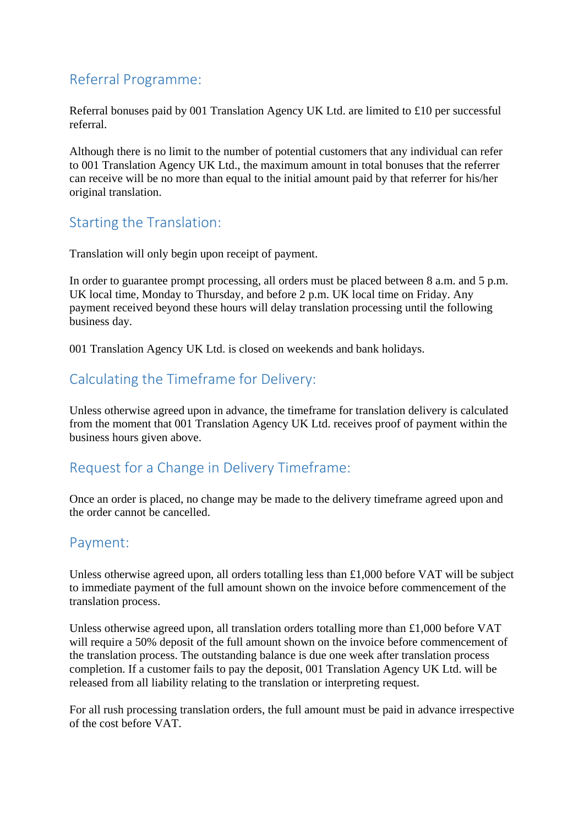### <span id="page-3-0"></span>Referral Programme:

Referral bonuses paid by 001 Translation Agency UK Ltd. are limited to £10 per successful referral.

Although there is no limit to the number of potential customers that any individual can refer to 001 Translation Agency UK Ltd., the maximum amount in total bonuses that the referrer can receive will be no more than equal to the initial amount paid by that referrer for his/her original translation.

### <span id="page-3-1"></span>Starting the Translation:

Translation will only begin upon receipt of payment.

In order to guarantee prompt processing, all orders must be placed between 8 a.m. and 5 p.m. UK local time, Monday to Thursday, and before 2 p.m. UK local time on Friday. Any payment received beyond these hours will delay translation processing until the following business day.

001 Translation Agency UK Ltd. is closed on weekends and bank holidays.

### <span id="page-3-2"></span>Calculating the Timeframe for Delivery:

Unless otherwise agreed upon in advance, the timeframe for translation delivery is calculated from the moment that 001 Translation Agency UK Ltd. receives proof of payment within the business hours given above.

### <span id="page-3-3"></span>Request for a Change in Delivery Timeframe:

Once an order is placed, no change may be made to the delivery timeframe agreed upon and the order cannot be cancelled.

### <span id="page-3-4"></span>Payment:

Unless otherwise agreed upon, all orders totalling less than £1,000 before VAT will be subject to immediate payment of the full amount shown on the invoice before commencement of the translation process.

Unless otherwise agreed upon, all translation orders totalling more than £1,000 before VAT will require a 50% deposit of the full amount shown on the invoice before commencement of the translation process. The outstanding balance is due one week after translation process completion. If a customer fails to pay the deposit, 001 Translation Agency UK Ltd. will be released from all liability relating to the translation or interpreting request.

For all rush processing translation orders, the full amount must be paid in advance irrespective of the cost before VAT.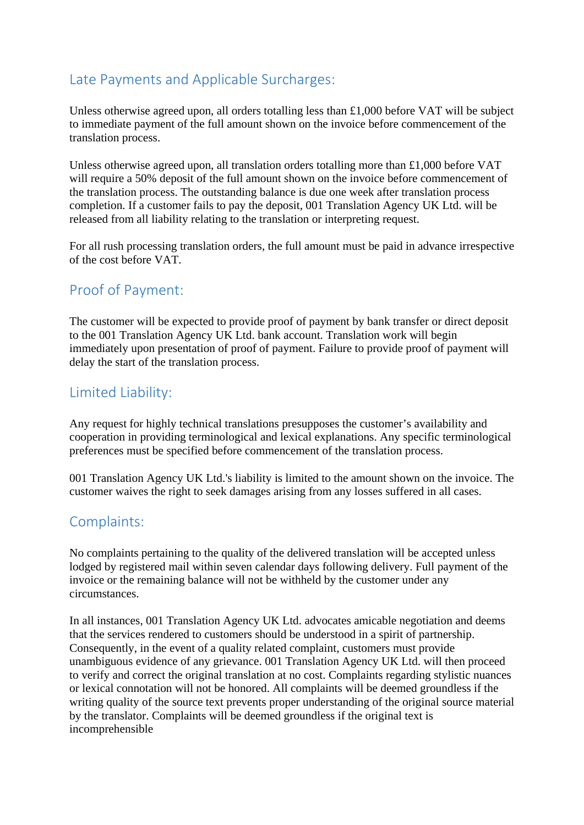### <span id="page-4-0"></span>Late Payments and Applicable Surcharges:

Unless otherwise agreed upon, all orders totalling less than £1,000 before VAT will be subject to immediate payment of the full amount shown on the invoice before commencement of the translation process.

Unless otherwise agreed upon, all translation orders totalling more than £1,000 before VAT will require a 50% deposit of the full amount shown on the invoice before commencement of the translation process. The outstanding balance is due one week after translation process completion. If a customer fails to pay the deposit, 001 Translation Agency UK Ltd. will be released from all liability relating to the translation or interpreting request.

For all rush processing translation orders, the full amount must be paid in advance irrespective of the cost before VAT.

### <span id="page-4-1"></span>Proof of Payment:

The customer will be expected to provide proof of payment by bank transfer or direct deposit to the 001 Translation Agency UK Ltd. bank account. Translation work will begin immediately upon presentation of proof of payment. Failure to provide proof of payment will delay the start of the translation process.

### <span id="page-4-2"></span>Limited Liability:

Any request for highly technical translations presupposes the customer's availability and cooperation in providing terminological and lexical explanations. Any specific terminological preferences must be specified before commencement of the translation process.

001 Translation Agency UK Ltd.'s liability is limited to the amount shown on the invoice. The customer waives the right to seek damages arising from any losses suffered in all cases.

#### <span id="page-4-3"></span>Complaints:

No complaints pertaining to the quality of the delivered translation will be accepted unless lodged by registered mail within seven calendar days following delivery. Full payment of the invoice or the remaining balance will not be withheld by the customer under any circumstances.

In all instances, 001 Translation Agency UK Ltd. advocates amicable negotiation and deems that the services rendered to customers should be understood in a spirit of partnership. Consequently, in the event of a quality related complaint, customers must provide unambiguous evidence of any grievance. 001 Translation Agency UK Ltd. will then proceed to verify and correct the original translation at no cost. Complaints regarding stylistic nuances or lexical connotation will not be honored. All complaints will be deemed groundless if the writing quality of the source text prevents proper understanding of the original source material by the translator. Complaints will be deemed groundless if the original text is incomprehensible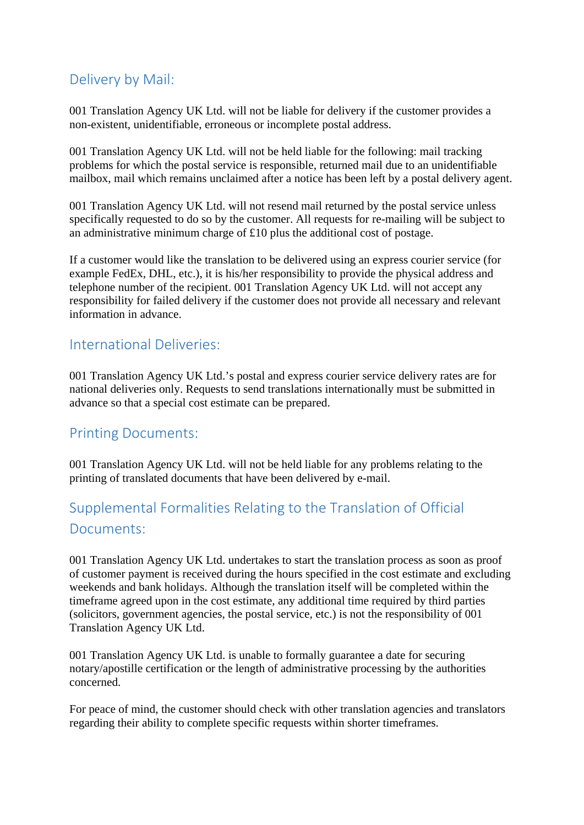### <span id="page-5-0"></span>Delivery by Mail:

001 Translation Agency UK Ltd. will not be liable for delivery if the customer provides a non-existent, unidentifiable, erroneous or incomplete postal address.

001 Translation Agency UK Ltd. will not be held liable for the following: mail tracking problems for which the postal service is responsible, returned mail due to an unidentifiable mailbox, mail which remains unclaimed after a notice has been left by a postal delivery agent.

001 Translation Agency UK Ltd. will not resend mail returned by the postal service unless specifically requested to do so by the customer. All requests for re-mailing will be subject to an administrative minimum charge of £10 plus the additional cost of postage.

If a customer would like the translation to be delivered using an express courier service (for example FedEx, DHL, etc.), it is his/her responsibility to provide the physical address and telephone number of the recipient. 001 Translation Agency UK Ltd. will not accept any responsibility for failed delivery if the customer does not provide all necessary and relevant information in advance.

#### <span id="page-5-1"></span>International Deliveries:

001 Translation Agency UK Ltd.'s postal and express courier service delivery rates are for national deliveries only. Requests to send translations internationally must be submitted in advance so that a special cost estimate can be prepared.

### <span id="page-5-2"></span>Printing Documents:

001 Translation Agency UK Ltd. will not be held liable for any problems relating to the printing of translated documents that have been delivered by e-mail.

## <span id="page-5-3"></span>Supplemental Formalities Relating to the Translation of Official Documents:

001 Translation Agency UK Ltd. undertakes to start the translation process as soon as proof of customer payment is received during the hours specified in the cost estimate and excluding weekends and bank holidays. Although the translation itself will be completed within the timeframe agreed upon in the cost estimate, any additional time required by third parties (solicitors, government agencies, the postal service, etc.) is not the responsibility of 001 Translation Agency UK Ltd.

001 Translation Agency UK Ltd. is unable to formally guarantee a date for securing notary/apostille certification or the length of administrative processing by the authorities concerned.

For peace of mind, the customer should check with other translation agencies and translators regarding their ability to complete specific requests within shorter timeframes.